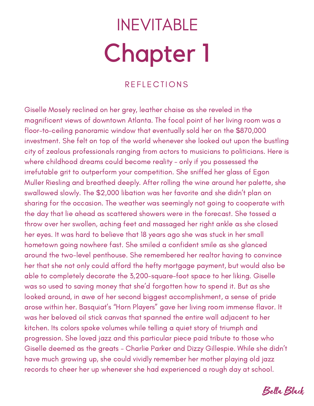# Chapter 1 INEVITABLE

### **REFLECTIONS**

Giselle Mosely reclined on her grey, leather chaise as she reveled in the magnificent views of downtown Atlanta. The focal point of her living room was a floor-to-ceiling panoramic window that eventually sold her on the \$870,000 investment. She felt on top of the world whenever she looked out upon the bustling city of zealous professionals ranging from actors to musicians to politicians. Here is where childhood dreams could become reality - only if you possessed the irrefutable grit to outperform your competition. She sniffed her glass of Egon Muller Riesling and breathed deeply. After rolling the wine around her palette, she swallowed slowly. The \$2,000 libation was her favorite and she didn't plan on sharing for the occasion. The weather was seemingly not going to cooperate with the day that lie ahead as scattered showers were in the forecast. She tossed a throw over her swollen, aching feet and massaged her right ankle as she closed her eyes. It was hard to believe that 18 years ago she was stuck in her small hometown going nowhere fast. She smiled a confident smile as she glanced around the two-level penthouse. She remembered her realtor having to convince her that she not only could afford the hefty mortgage payment, but would also be able to completely decorate the 3,200-square-foot space to her liking. Giselle was so used to saving money that she'd forgotten how to spend it. But as she looked around, in awe of her second biggest accomplishment, a sense of pride arose within her. Basquiat's "Horn Players" gave her living room immense flavor. It was her beloved oil stick canvas that spanned the entire wall adjacent to her kitchen. Its colors spoke volumes while telling a quiet story of triumph and progression. She loved jazz and this particular piece paid tribute to those who Giselle deemed as the greats - Charlie Parker and Dizzy Gillespie. While she didn't have much growing up, she could vividly remember her mother playing old jazz records to cheer her up whenever she had experienced a rough day at school.

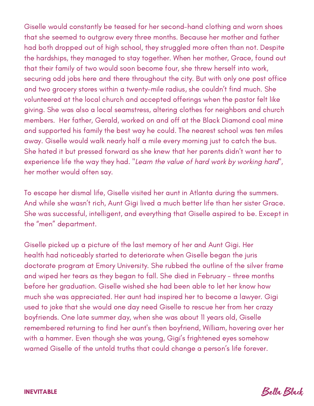Giselle would constantly be teased for her second-hand clothing and worn shoes that she seemed to outgrow every three months. Because her mother and father had both dropped out of high school, they struggled more often than not. Despite the hardships, they managed to stay together. When her mother, Grace, found out that their family of two would soon become four, she threw herself into work, securing odd jobs here and there throughout the city. But with only one post office and two grocery stores within a twenty-mile radius, she couldn't find much. She volunteered at the local church and accepted offerings when the pastor felt like giving. She was also a local seamstress, altering clothes for neighbors and church members. Her father, Gerald, worked on and off at the Black Diamond coal mine and supported his family the best way he could. The nearest school was ten miles away. Giselle would walk nearly half a mile every morning just to catch the bus. She hated it but pressed forward as she knew that her parents didn't want her to experience life the way they had. "Learn the value of hard work by working hard", her mother would often say.

To escape her dismal life, Giselle visited her aunt in Atlanta during the summers. And while she wasn't rich, Aunt Gigi lived a much better life than her sister Grace. She was successful, intelligent, and everything that Giselle aspired to be. Except in the "men" department.

Giselle picked up a picture of the last memory of her and Aunt Gigi. Her health had noticeably started to deteriorate when Giselle began the juris doctorate program at Emory University. She rubbed the outline of the silver frame and wiped her tears as they began to fall. She died in February - three months before her graduation. Giselle wished she had been able to let her know how much she was appreciated. Her aunt had inspired her to become a lawyer. Gigi used to joke that she would one day need Giselle to rescue her from her crazy boyfriends. One late summer day, when she was about 11 years old, Giselle remembered returning to find her aunt's then boyfriend, William, hovering over her with a hammer. Even though she was young, Gigi's frightened eyes somehow warned Giselle of the untold truths that could change a person's life forever.



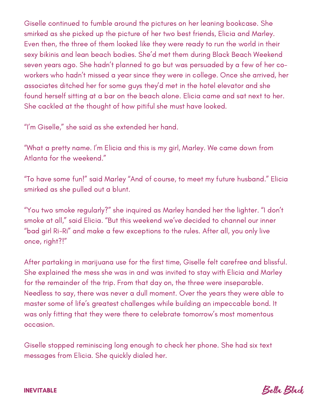Giselle continued to fumble around the pictures on her leaning bookcase. She smirked as she picked up the picture of her two best friends, Elicia and Marley. Even then, the three of them looked like they were ready to run the world in their sexy bikinis and lean beach bodies. She'd met them during Black Beach Weekend seven years ago. She hadn't planned to go but was persuaded by a few of her coworkers who hadn't missed a year since they were in college. Once she arrived, her associates ditched her for some guys they'd met in the hotel elevator and she found herself sitting at a bar on the beach alone. Elicia came and sat next to her. She cackled at the thought of how pitiful she must have looked.

"I'm Giselle," she said as she extended her hand.

"What a pretty name. I'm Elicia and this is my girl, Marley. We came down from Atlanta for the weekend."

"To have some fun!" said Marley "And of course, to meet my future husband." Elicia smirked as she pulled out a blunt.

"You two smoke regularly?" she inquired as Marley handed her the lighter. "I don't smoke at all," said Elicia. "But this weekend we've decided to channel our inner "bad girl Ri-Ri" and make a few exceptions to the rules. After all, you only live once, right?!"

After partaking in marijuana use for the first time, Giselle felt carefree and blissful. She explained the mess she was in and was invited to stay with Elicia and Marley for the remainder of the trip. From that day on, the three were inseparable. Needless to say, there was never a dull moment. Over the years they were able to master some of life's greatest challenges while building an impeccable bond. It was only fitting that they were there to celebrate tomorrow's most momentous occasion.

Giselle stopped reminiscing long enough to check her phone. She had six text messages from Elicia. She quickly dialed her.

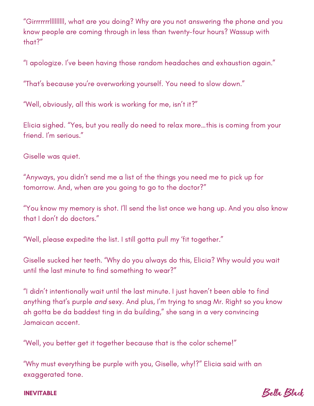"Girrrrrrrlllllllll, what are you doing? Why are you not answering the phone and you know people are coming through in less than twenty-four hours? Wassup with that?"

"I apologize. I've been having those random headaches and exhaustion again."

"That's because you're overworking yourself. You need to slow down."

"Well, obviously, all this work is working for me, isn't it?"

Elicia sighed. "Yes, but you really do need to relax more…this is coming from your friend. I'm serious."

Giselle was quiet.

"Anyways, you didn't send me a list of the things you need me to pick up for tomorrow. And, when are you going to go to the doctor?"

"You know my memory is shot. I'll send the list once we hang up. And you also know that I don't do doctors."

"Well, please expedite the list. I still gotta pull my 'fit together."

Giselle sucked her teeth. "Why do you always do this, Elicia? Why would you wait until the last minute to find something to wear?"

"I didn't intentionally wait until the last minute. I just haven't been able to find anything that's purple and sexy. And plus, I'm trying to snag Mr. Right so you know ah gotta be da baddest ting in da building," she sang in a very convincing Jamaican accent.

"Well, you better get it together because that is the color scheme!"

"Why must everything be purple with you, Giselle, why!?" Elicia said with an exaggerated tone.

Bella Black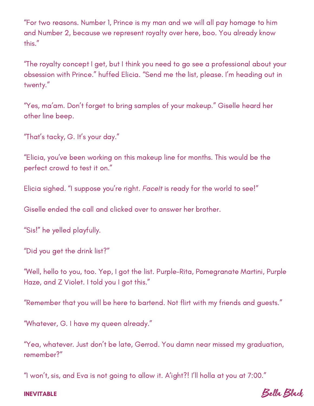"For two reasons. Number 1, Prince is my man and we will all pay homage to him and Number 2, because we represent royalty over here, boo. You already know this."

"The royalty concept I get, but I think you need to go see a professional about your obsession with Prince." huffed Elicia. "Send me the list, please. I'm heading out in twenty."

"Yes, ma'am. Don't forget to bring samples of your makeup." Giselle heard her other line beep.

"That's tacky, G. It's your day."

"Elicia, you've been working on this makeup line for months. This would be the perfect crowd to test it on."

Elicia sighed. "I suppose you're right. Facelt is ready for the world to see!"

Giselle ended the call and clicked over to answer her brother.

"Sis!" he yelled playfully.

"Did you get the drink list?"

"Well, hello to you, too. Yep, I got the list. Purple-Rita, Pomegranate Martini, Purple Haze, and Z Violet. I told you I got this."

"Remember that you will be here to bartend. Not flirt with my friends and guests."

"Whatever, G. I have my queen already."

"Yea, whatever. Just don't be late, Gerrod. You damn near missed my graduation, remember?"

"I won't, sis, and Eva is not going to allow it. A'ight?! I'll holla at you at 7:00."

Bella Black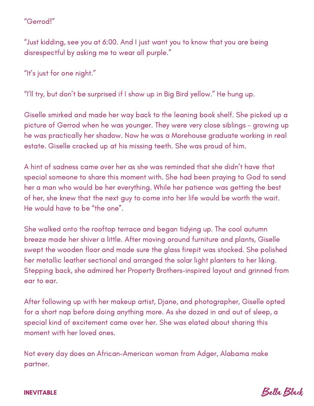#### "Gerrod!"

"Just kidding, see you at 6:00. And I just want you to know that you are being disrespectful by asking me to wear all purple."

"It's just for one night."

"I'll try, but don't be surprised if I show up in Big Bird yellow." He hung up.

Giselle smirked and made her way back to the leaning book shelf. She picked up a picture of Gerrod when he was younger. They were very close siblings - growing up he was practically her shadow. Now he was a Morehouse graduate working in real estate. Giselle cracked up at his missing teeth. She was proud of him.

A hint of sadness came over her as she was reminded that she didn't have that special someone to share this moment with. She had been praying to God to send her a man who would be her everything. While her patience was getting the best of her, she knew that the next guy to come into her life would be worth the wait. He would have to be "the one".

She walked onto the rooftop terrace and began tidying up. The cool autumn breeze made her shiver a little. After moving around furniture and plants, Giselle swept the wooden floor and made sure the glass firepit was stocked. She polished her metallic leather sectional and arranged the solar light planters to her liking. Stepping back, she admired her Property Brothers-inspired layout and grinned from ear to ear.

After following up with her makeup artist, Djane, and photographer, Giselle opted for a short nap before doing anything more. As she dozed in and out of sleep, a special kind of excitement came over her. She was elated about sharing this moment with her loved ones.

Not every day does an African-American woman from Adger, Alabama make partner.